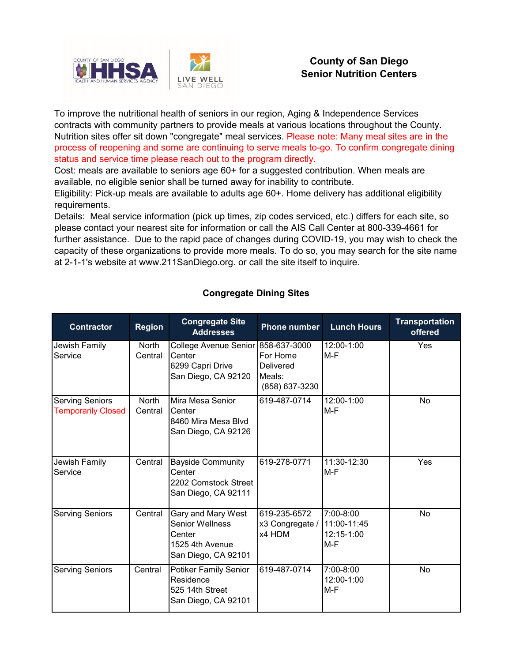

## **County of San Diego Senior Nutrition Centers**

To improve the nutritional health of seniors in our region, Aging & Independence Services contracts with community partners to provide meals at various locations throughout the County. Nutrition sites offer sit down "congregate" meal services. Please note: Many meal sites are in the process of reopening and some are continuing to serve meals to-go. To confirm congregate dining status and service time please reach out to the program directly.

Cost: meals are available to seniors age 60+ for a suggested contribution. When meals are available, no eligible senior shall be turned away for inability to contribute.

Eligibility: Pick-up meals are available to adults age 60+. Home delivery has additional eligibility requirements.

Details: Meal service information (pick up times, zip codes serviced, etc.) differs for each site, so please contact your nearest site for information or call the AIS Call Center at 800-339-4661 for further assistance. Due to the rapid pace of changes during COVID-19, you may wish to check the capacity of these organizations to provide more meals. To do so, you may search for the site name at 2-1-1's website at www.211SanDiego.org. or call the site itself to inquire.

| <b>Contractor</b>                                   | <b>Region</b>    | <b>Congregate Site</b><br><b>Addresses</b>                                                       | <b>Phone number</b>                                      | <b>Lunch Hours</b>                            | <b>Transportation</b><br>offered |
|-----------------------------------------------------|------------------|--------------------------------------------------------------------------------------------------|----------------------------------------------------------|-----------------------------------------------|----------------------------------|
| Jewish Family<br>Service                            | North<br>Central | College Avenue Senior 858-637-3000<br>Center<br>6299 Capri Drive<br>San Diego, CA 92120          | For Home<br><b>Delivered</b><br>Meals:<br>(858) 637-3230 | 12:00-1:00<br>M-F                             | Yes                              |
| <b>Serving Seniors</b><br><b>Temporarily Closed</b> | North<br>Central | Mira Mesa Senior<br>Center<br>8460 Mira Mesa Blvd<br>San Diego, CA 92126                         | 619-487-0714                                             | 12:00-1:00<br>M-F                             | No                               |
| Jewish Family<br>Service                            | Central          | <b>Bayside Community</b><br>Center<br>2202 Comstock Street<br>San Diego, CA 92111                | 619-278-0771                                             | 11:30-12:30<br>M-F                            | Yes                              |
| <b>Serving Seniors</b>                              | Central          | Gary and Mary West<br><b>Senior Wellness</b><br>Center<br>1525 4th Avenue<br>San Diego, CA 92101 | 619-235-6572<br>x3 Congregate /<br>x4 HDM                | 7:00-8:00<br>11:00-11:45<br>12:15-1:00<br>M-F | <b>No</b>                        |
| <b>Serving Seniors</b>                              | Central          | Potiker Family Senior<br>Residence<br>525 14th Street<br>San Diego, CA 92101                     | 619-487-0714                                             | 7:00-8:00<br>12:00-1:00<br>M-F                | No                               |

## **Congregate Dining Sites**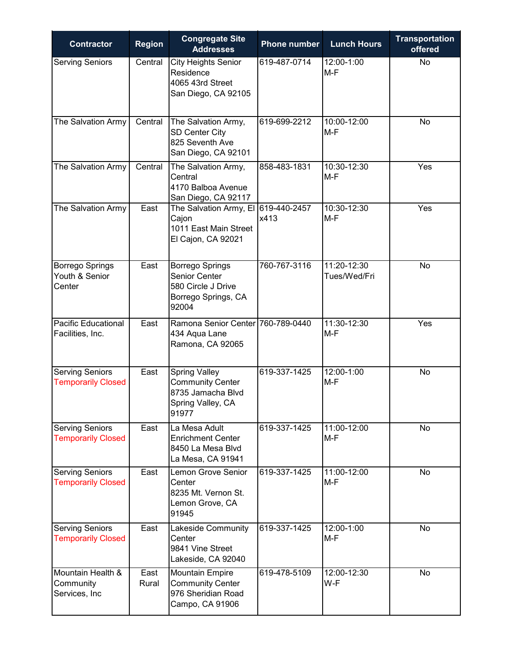| <b>Contractor</b>                                   | <b>Region</b> | <b>Congregate Site</b><br><b>Addresses</b>                                                         | <b>Phone number</b>  | <b>Lunch Hours</b>          | <b>Transportation</b><br>offered |
|-----------------------------------------------------|---------------|----------------------------------------------------------------------------------------------------|----------------------|-----------------------------|----------------------------------|
| <b>Serving Seniors</b>                              | Central       | <b>City Heights Senior</b><br>Residence<br>4065 43rd Street<br>San Diego, CA 92105                 | 619-487-0714         | 12:00-1:00<br>$M-F$         | No                               |
| The Salvation Army                                  | Central       | The Salvation Army,<br><b>SD Center City</b><br>825 Seventh Ave<br>San Diego, CA 92101             | 619-699-2212         | 10:00-12:00<br>$M-F$        | No                               |
| The Salvation Army                                  | Central       | The Salvation Army,<br>Central<br>4170 Balboa Avenue<br>San Diego, CA 92117                        | 858-483-1831         | 10:30-12:30<br>$M-F$        | Yes                              |
| The Salvation Army                                  | East          | The Salvation Army, El<br>Cajon<br>1011 East Main Street<br>El Cajon, CA 92021                     | 619-440-2457<br>x413 | 10:30-12:30<br>M-F          | Yes                              |
| <b>Borrego Springs</b><br>Youth & Senior<br>Center  | East          | <b>Borrego Springs</b><br>Senior Center<br>580 Circle J Drive<br>Borrego Springs, CA<br>92004      | 760-767-3116         | 11:20-12:30<br>Tues/Wed/Fri | No                               |
| <b>Pacific Educational</b><br>Facilities, Inc.      | East          | Ramona Senior Center 760-789-0440<br>434 Aqua Lane<br>Ramona, CA 92065                             |                      | 11:30-12:30<br>$M-F$        | Yes                              |
| <b>Serving Seniors</b><br><b>Temporarily Closed</b> | East          | <b>Spring Valley</b><br><b>Community Center</b><br>8735 Jamacha Blvd<br>Spring Valley, CA<br>91977 | 619-337-1425         | 12:00-1:00<br>$M-F$         | No                               |
| <b>Serving Seniors</b><br><b>Temporarily Closed</b> | East          | La Mesa Adult<br><b>Enrichment Center</b><br>8450 La Mesa Blvd<br>La Mesa, CA 91941                | 619-337-1425         | 11:00-12:00<br>$M-F$        | No                               |
| <b>Serving Seniors</b><br><b>Temporarily Closed</b> | East          | <b>Lemon Grove Senior</b><br>Center<br>8235 Mt. Vernon St.<br>Lemon Grove, CA<br>91945             | 619-337-1425         | 11:00-12:00<br>M-F          | No                               |
| Serving Seniors<br><b>Temporarily Closed</b>        | East          | Lakeside Community<br>Center<br>9841 Vine Street<br>Lakeside, CA 92040                             | 619-337-1425         | 12:00-1:00<br>$M-F$         | No                               |
| Mountain Health &<br>Community<br>Services, Inc     | East<br>Rural | <b>Mountain Empire</b><br><b>Community Center</b><br>976 Sheridian Road<br>Campo, CA 91906         | 619-478-5109         | 12:00-12:30<br>W-F          | No                               |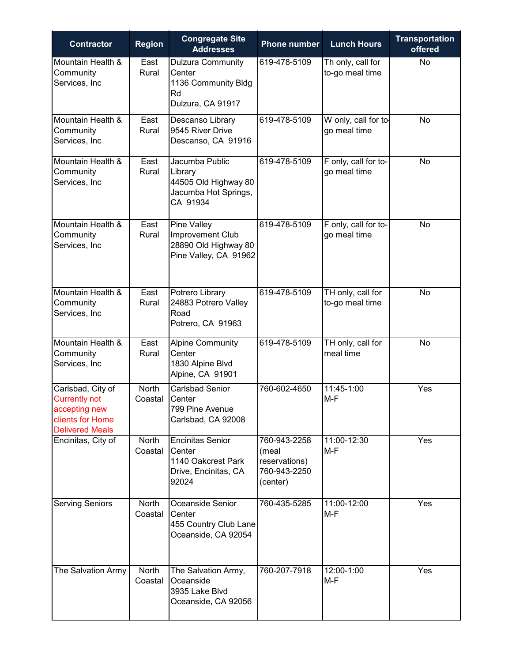| <b>Contractor</b>                                                                                        | <b>Region</b>    | <b>Congregate Site</b><br><b>Addresses</b>                                               | <b>Phone number</b>                                                | <b>Lunch Hours</b>                   | <b>Transportation</b><br>offered |
|----------------------------------------------------------------------------------------------------------|------------------|------------------------------------------------------------------------------------------|--------------------------------------------------------------------|--------------------------------------|----------------------------------|
| Mountain Health &<br>Community<br>Services, Inc                                                          | East<br>Rural    | <b>Dulzura Community</b><br>Center<br>1136 Community Bldg<br>Rd<br>Dulzura, CA 91917     | 619-478-5109                                                       | Th only, call for<br>to-go meal time | No                               |
| Mountain Health &<br>Community<br>Services, Inc                                                          | East<br>Rural    | Descanso Library<br>9545 River Drive<br>Descanso, CA 91916                               | 619-478-5109                                                       | W only, call for to-<br>go meal time | No                               |
| Mountain Health &<br>Community<br>Services, Inc                                                          | East<br>Rural    | Jacumba Public<br>Library<br>44505 Old Highway 80<br>Jacumba Hot Springs,<br>CA 91934    | 619-478-5109                                                       | F only, call for to-<br>go meal time | No                               |
| Mountain Health &<br>Community<br>Services, Inc                                                          | East<br>Rural    | <b>Pine Valley</b><br>Improvement Club<br>28890 Old Highway 80<br>Pine Valley, CA 91962  | 619-478-5109                                                       | F only, call for to-<br>go meal time | No                               |
| Mountain Health &<br>Community<br>Services, Inc                                                          | East<br>Rural    | Potrero Library<br>24883 Potrero Valley<br>Road<br>Potrero, CA 91963                     | 619-478-5109                                                       | TH only, call for<br>to-go meal time | No                               |
| Mountain Health &<br>Community<br>Services, Inc                                                          | East<br>Rural    | <b>Alpine Community</b><br>Center<br>1830 Alpine Blvd<br>Alpine, CA 91901                | 619-478-5109                                                       | TH only, call for<br>meal time       | No                               |
| Carlsbad, City of<br><b>Currently not</b><br>accepting new<br>clients for Home<br><b>Delivered Meals</b> | North<br>Coastal | <b>Carlsbad Senior</b><br>Center<br>799 Pine Avenue<br>Carlsbad, CA 92008                | 760-602-4650                                                       | 11:45-1:00<br>M-F                    | Yes                              |
| Encinitas, City of                                                                                       | North<br>Coastal | <b>Encinitas Senior</b><br>Center<br>1140 Oakcrest Park<br>Drive, Encinitas, CA<br>92024 | 760-943-2258<br>(meal<br>reservations)<br>760-943-2250<br>(center) | 11:00-12:30<br>$M-F$                 | Yes                              |
| <b>Serving Seniors</b>                                                                                   | North<br>Coastal | Oceanside Senior<br>Center<br>455 Country Club Lane<br>Oceanside, CA 92054               | 760-435-5285                                                       | 11:00-12:00<br>M-F                   | Yes                              |
| The Salvation Army                                                                                       | North<br>Coastal | The Salvation Army,<br>Oceanside<br>3935 Lake Blvd<br>Oceanside, CA 92056                | 760-207-7918                                                       | 12:00-1:00<br>M-F                    | Yes                              |